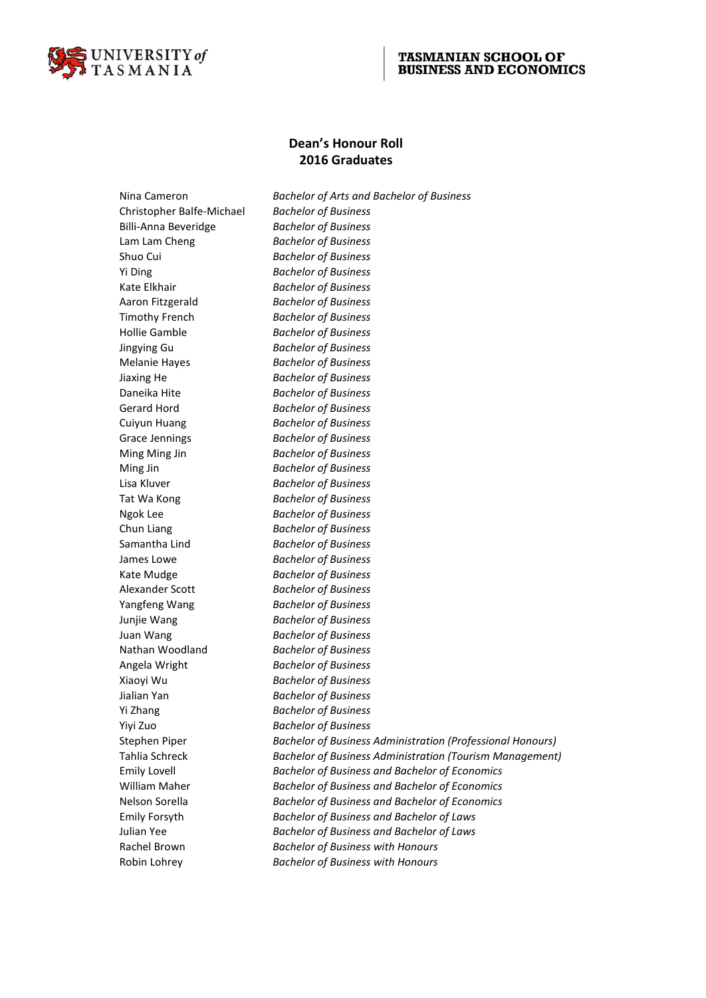

## **TASMANIAN SCHOOL OF BUSINESS AND ECONOMICS**

## **Dean's Honour Roll 2016 Graduates**

Nina Cameron *Bachelor of Arts and Bachelor of Business* Christopher Balfe-Michael *Bachelor of Business* Billi-Anna Beveridge *Bachelor of Business* Lam Lam Cheng *Bachelor of Business* Shuo Cui *Bachelor of Business* Yi Ding *Bachelor of Business* Kate Elkhair *Bachelor of Business* Aaron Fitzgerald *Bachelor of Business* Timothy French *Bachelor of Business* Hollie Gamble *Bachelor of Business* Jingying Gu *Bachelor of Business* Melanie Hayes *Bachelor of Business* Jiaxing He *Bachelor of Business* Daneika Hite *Bachelor of Business* Gerard Hord *Bachelor of Business* Cuiyun Huang *Bachelor of Business* Grace Jennings *Bachelor of Business* Ming Ming Jin *Bachelor of Business* Ming Jin *Bachelor of Business* Lisa Kluver *Bachelor of Business* Tat Wa Kong *Bachelor of Business* Ngok Lee *Bachelor of Business* Chun Liang *Bachelor of Business* Samantha Lind *Bachelor of Business* James Lowe *Bachelor of Business* Kate Mudge *Bachelor of Business* Alexander Scott *Bachelor of Business* Yangfeng Wang *Bachelor of Business* Junjie Wang *Bachelor of Business* Juan Wang *Bachelor of Business* Nathan Woodland *Bachelor of Business* Angela Wright *Bachelor of Business* Xiaoyi Wu *Bachelor of Business* Jialian Yan *Bachelor of Business* Yi Zhang *Bachelor of Business* Yiyi Zuo *Bachelor of Business* Emily Lovell *Bachelor of Business and Bachelor of Economics* William Maher *Bachelor of Business and Bachelor of Economics* Nelson Sorella *Bachelor of Business and Bachelor of Economics* Emily Forsyth *Bachelor of Business and Bachelor of Laws* Julian Yee *Bachelor of Business and Bachelor of Laws* Rachel Brown *Bachelor of Business with Honours* Robin Lohrey *Bachelor of Business with Honours*

Stephen Piper *Bachelor of Business Administration (Professional Honours)* Tahlia Schreck *Bachelor of Business Administration (Tourism Management)*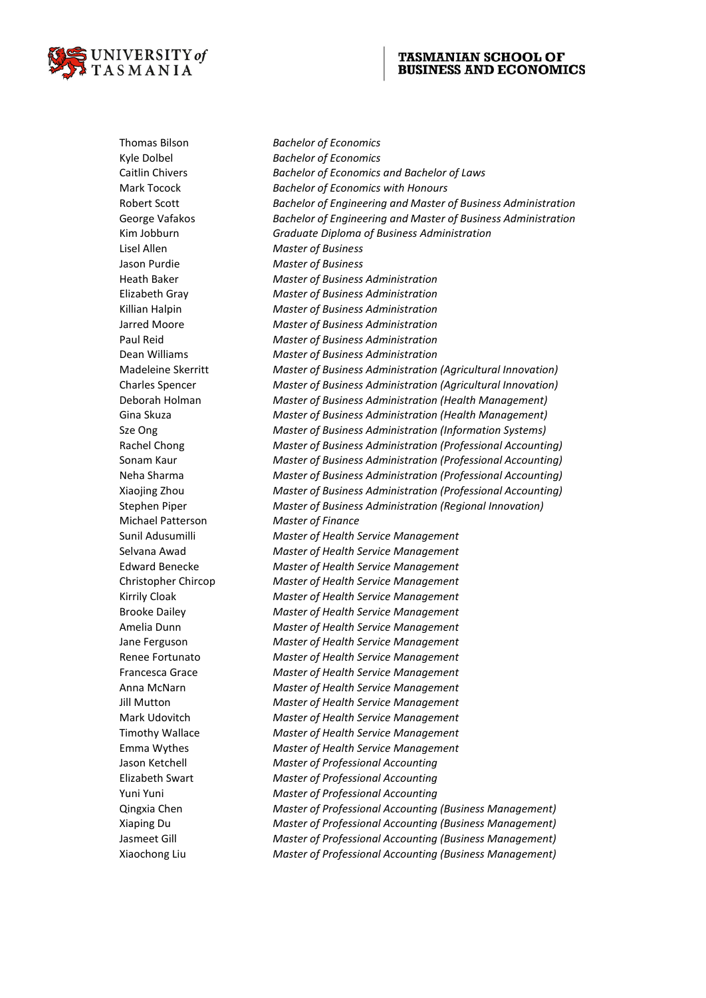

## **TASMANIAN SCHOOL OF BUSINESS AND ECONOMICS**

Thomas Bilson *Bachelor of Economics* Kyle Dolbel *Bachelor of Economics* Caitlin Chivers *Bachelor of Economics and Bachelor of Laws* Mark Tocock *Bachelor of Economics with Honours* Robert Scott *Bachelor of Engineering and Master of Business Administration* George Vafakos *Bachelor of Engineering and Master of Business Administration* Kim Jobburn *Graduate Diploma of Business Administration* Lisel Allen *Master of Business* Jason Purdie *Master of Business* Heath Baker *Master of Business Administration* Elizabeth Gray *Master of Business Administration* Killian Halpin *Master of Business Administration* Jarred Moore *Master of Business Administration* Paul Reid *Master of Business Administration* Dean Williams *Master of Business Administration* Madeleine Skerritt *Master of Business Administration (Agricultural Innovation)* Charles Spencer *Master of Business Administration (Agricultural Innovation)* Deborah Holman *Master of Business Administration (Health Management)* Gina Skuza *Master of Business Administration (Health Management)* Sze Ong *Master of Business Administration (Information Systems)* Rachel Chong *Master of Business Administration (Professional Accounting)* Sonam Kaur *Master of Business Administration (Professional Accounting)* Neha Sharma *Master of Business Administration (Professional Accounting)* Xiaojing Zhou *Master of Business Administration (Professional Accounting)* Stephen Piper *Master of Business Administration (Regional Innovation)* Michael Patterson *Master of Finance* Sunil Adusumilli *Master of Health Service Management* Selvana Awad *Master of Health Service Management* Edward Benecke *Master of Health Service Management* Christopher Chircop *Master of Health Service Management* Kirrily Cloak *Master of Health Service Management* Brooke Dailey *Master of Health Service Management* Amelia Dunn *Master of Health Service Management* Jane Ferguson *Master of Health Service Management* Renee Fortunato *Master of Health Service Management* Francesca Grace *Master of Health Service Management* Anna McNarn *Master of Health Service Management* Jill Mutton *Master of Health Service Management* Mark Udovitch *Master of Health Service Management* Timothy Wallace *Master of Health Service Management* Emma Wythes *Master of Health Service Management* Jason Ketchell *Master of Professional Accounting* Elizabeth Swart *Master of Professional Accounting* Yuni Yuni *Master of Professional Accounting* Qingxia Chen *Master of Professional Accounting (Business Management)* Xiaping Du *Master of Professional Accounting (Business Management)* Jasmeet Gill *Master of Professional Accounting (Business Management)* Xiaochong Liu *Master of Professional Accounting (Business Management)*